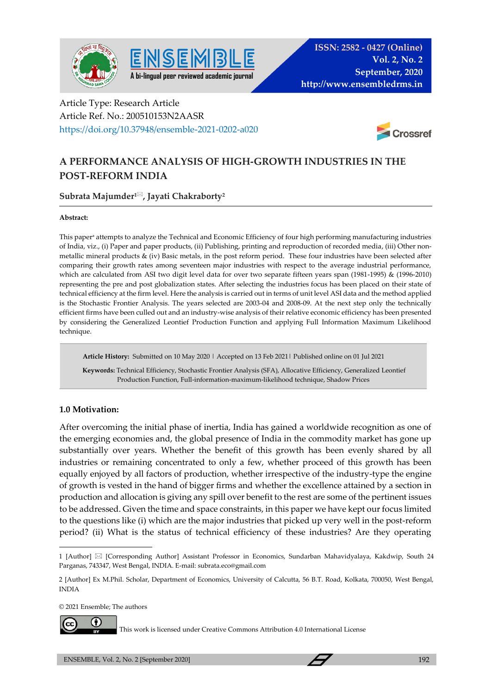



# Article Type: Research Article Article Ref. No.: 200510153N2AASR https://doi.org/10.37948/ensemble-2021-0202-a020



# **A PERFORMANCE ANALYSIS OF HIGH-GROWTH INDUSTRIES IN THE POST-REFORM INDIA**

## **Subrata Majumder<sup>1</sup>, Jayati Chakraborty<sup>2</sup>**

#### **Abstract:**

This paper<sup>a</sup> attempts to analyze the Technical and Economic Efficiency of four high performing manufacturing industries of India, viz., (i) Paper and paper products, (ii) Publishing, printing and reproduction of recorded media, (iii) Other nonmetallic mineral products & (iv) Basic metals, in the post reform period. These four industries have been selected after comparing their growth rates among seventeen major industries with respect to the average industrial performance, which are calculated from ASI two digit level data for over two separate fifteen years span (1981-1995) & (1996-2010) representing the pre and post globalization states. After selecting the industries focus has been placed on their state of technical efficiency at the firm level. Here the analysis is carried out in terms of unit level ASI data and the method applied is the Stochastic Frontier Analysis. The years selected are 2003-04 and 2008-09. At the next step only the technically efficient firms have been culled out and an industry-wise analysis of their relative economic efficiency has been presented by considering the Generalized Leontief Production Function and applying Full Information Maximum Likelihood technique.

**Article History:** Submitted on 10 May 2020 | Accepted on 13 Feb 2021| Published online on 01 Jul 2021

 **Keywords:** Technical Efficiency, Stochastic Frontier Analysis (SFA), Allocative Efficiency, Generalized Leontief Production Function, Full-information-maximum-likelihood technique, Shadow Prices

## **1.0 Motivation:**

After overcoming the initial phase of inertia, India has gained a worldwide recognition as one of the emerging economies and, the global presence of India in the commodity market has gone up substantially over years. Whether the benefit of this growth has been evenly shared by all industries or remaining concentrated to only a few, whether proceed of this growth has been equally enjoyed by all factors of production, whether irrespective of the industry-type the engine of growth is vested in the hand of bigger firms and whether the excellence attained by a section in production and allocation is giving any spill over benefit to the rest are some of the pertinent issues to be addressed. Given the time and space constraints, in this paper we have kept our focus limited to the questions like (i) which are the major industries that picked up very well in the post-reform period? (ii) What is the status of technical efficiency of these industries? Are they operating

© 2021 Ensemble; The authors



This work is licensed under Creative Commons Attribution 4.0 International License

<sup>1 [</sup>Author]  $\boxtimes$  [Corresponding Author] Assistant Professor in Economics, Sundarban Mahavidyalaya, Kakdwip, South 24 Parganas, 743347, West Bengal, INDIA. E-mail: subrata.eco@gmail.com

<sup>2 [</sup>Author] Ex M.Phil. Scholar, Department of Economics, University of Calcutta, 56 B.T. Road, Kolkata, 700050, West Bengal, INDIA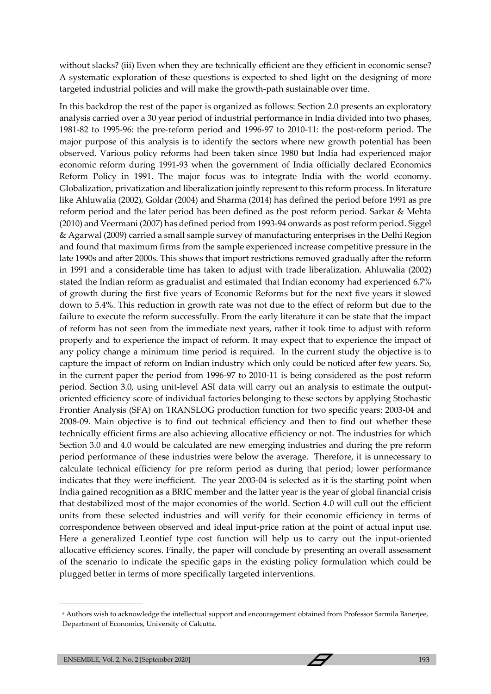without slacks? (iii) Even when they are technically efficient are they efficient in economic sense? A systematic exploration of these questions is expected to shed light on the designing of more targeted industrial policies and will make the growth-path sustainable over time.

In this backdrop the rest of the paper is organized as follows: Section 2.0 presents an exploratory analysis carried over a 30 year period of industrial performance in India divided into two phases, 1981-82 to 1995-96: the pre-reform period and 1996-97 to 2010-11: the post-reform period. The major purpose of this analysis is to identify the sectors where new growth potential has been observed. Various policy reforms had been taken since 1980 but India had experienced major economic reform during 1991-93 when the government of India officially declared Economics Reform Policy in 1991. The major focus was to integrate India with the world economy. Globalization, privatization and liberalization jointly represent to this reform process. In literature like Ahluwalia (2002), Goldar (2004) and Sharma (2014) has defined the period before 1991 as pre reform period and the later period has been defined as the post reform period. Sarkar & Mehta (2010) and Veermani (2007) has defined period from 1993-94 onwards as post reform period. Siggel & Agarwal (2009) carried a small sample survey of manufacturing enterprises in the Delhi Region and found that maximum firms from the sample experienced increase competitive pressure in the late 1990s and after 2000s. This shows that import restrictions removed gradually after the reform in 1991 and a considerable time has taken to adjust with trade liberalization. Ahluwalia (2002) stated the Indian reform as gradualist and estimated that Indian economy had experienced 6.7% of growth during the first five years of Economic Reforms but for the next five years it slowed down to 5.4%. This reduction in growth rate was not due to the effect of reform but due to the failure to execute the reform successfully. From the early literature it can be state that the impact of reform has not seen from the immediate next years, rather it took time to adjust with reform properly and to experience the impact of reform. It may expect that to experience the impact of any policy change a minimum time period is required. In the current study the objective is to capture the impact of reform on Indian industry which only could be noticed after few years. So, in the current paper the period from 1996-97 to 2010-11 is being considered as the post reform period. Section 3.0, using unit-level ASI data will carry out an analysis to estimate the outputoriented efficiency score of individual factories belonging to these sectors by applying Stochastic Frontier Analysis (SFA) on TRANSLOG production function for two specific years: 2003-04 and 2008-09. Main objective is to find out technical efficiency and then to find out whether these technically efficient firms are also achieving allocative efficiency or not. The industries for which Section 3.0 and 4.0 would be calculated are new emerging industries and during the pre reform period performance of these industries were below the average. Therefore, it is unnecessary to calculate technical efficiency for pre reform period as during that period; lower performance indicates that they were inefficient. The year 2003-04 is selected as it is the starting point when India gained recognition as a BRIC member and the latter year is the year of global financial crisis that destabilized most of the major economies of the world. Section 4.0 will cull out the efficient units from these selected industries and will verify for their economic efficiency in terms of correspondence between observed and ideal input-price ration at the point of actual input use. Here a generalized Leontief type cost function will help us to carry out the input-oriented allocative efficiency scores. Finally, the paper will conclude by presenting an overall assessment of the scenario to indicate the specific gaps in the existing policy formulation which could be plugged better in terms of more specifically targeted interventions.

a Authors wish to acknowledge the intellectual support and encouragement obtained from Professor Sarmila Banerjee, Department of Economics, University of Calcutta.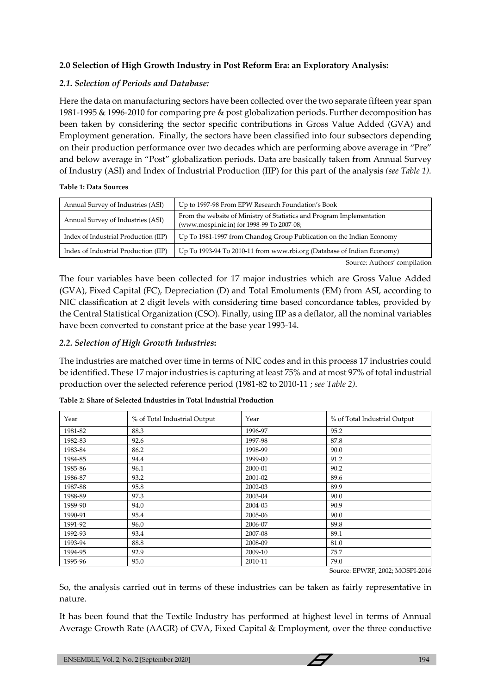## **2.0 Selection of High Growth Industry in Post Reform Era: an Exploratory Analysis:**

## *2.1. Selection of Periods and Database:*

Here the data on manufacturing sectors have been collected over the two separate fifteen year span 1981-1995 & 1996-2010 for comparing pre & post globalization periods. Further decomposition has been taken by considering the sector specific contributions in Gross Value Added (GVA) and Employment generation. Finally, the sectors have been classified into four subsectors depending on their production performance over two decades which are performing above average in "Pre" and below average in "Post" globalization periods. Data are basically taken from Annual Survey of Industry (ASI) and Index of Industrial Production (IIP) for this part of the analysis *(see Table 1)*.

#### **Table 1: Data Sources**

| Annual Survey of Industries (ASI)    | Up to 1997-98 From EPW Research Foundation's Book                                                                   |
|--------------------------------------|---------------------------------------------------------------------------------------------------------------------|
| Annual Survey of Industries (ASI)    | From the website of Ministry of Statistics and Program Implementation<br>(www.mospi.nic.in) for 1998-99 To 2007-08; |
| Index of Industrial Production (IIP) | Up To 1981-1997 from Chandog Group Publication on the Indian Economy                                                |
| Index of Industrial Production (IIP) | Up To 1993-94 To 2010-11 from www.rbi.org (Database of Indian Economy)                                              |

Source: Authors' compilation

The four variables have been collected for 17 major industries which are Gross Value Added (GVA), Fixed Capital (FC), Depreciation (D) and Total Emoluments (EM) from ASI, according to NIC classification at 2 digit levels with considering time based concordance tables, provided by the Central Statistical Organization (CSO). Finally, using IIP as a deflator, all the nominal variables have been converted to constant price at the base year 1993-14.

## *2.2. Selection of High Growth Industries***:**

The industries are matched over time in terms of NIC codes and in this process 17 industries could be identified. These 17 major industries is capturing at least 75% and at most 97% of total industrial production over the selected reference period (1981-82 to 2010-11 ; *see Table 2)*.

| Year    | % of Total Industrial Output | Year    | % of Total Industrial Output |
|---------|------------------------------|---------|------------------------------|
| 1981-82 | 88.3                         | 1996-97 | 95.2                         |
| 1982-83 | 92.6                         | 1997-98 | 87.8                         |
| 1983-84 | 86.2                         | 1998-99 | 90.0                         |
| 1984-85 | 94.4                         | 1999-00 | 91.2                         |
| 1985-86 | 96.1                         | 2000-01 | 90.2                         |
| 1986-87 | 93.2                         | 2001-02 | 89.6                         |
| 1987-88 | 95.8                         | 2002-03 | 89.9                         |
| 1988-89 | 97.3                         | 2003-04 | 90.0                         |
| 1989-90 | 94.0                         | 2004-05 | 90.9                         |
| 1990-91 | 95.4                         | 2005-06 | 90.0                         |
| 1991-92 | 96.0                         | 2006-07 | 89.8                         |
| 1992-93 | 93.4                         | 2007-08 | 89.1                         |
| 1993-94 | 88.8                         | 2008-09 | 81.0                         |
| 1994-95 | 92.9                         | 2009-10 | 75.7                         |
| 1995-96 | 95.0                         | 2010-11 | 79.0                         |

**Table 2: Share of Selected Industries in Total Industrial Production**

Source: EPWRF, 2002; MOSPI-2016

So, the analysis carried out in terms of these industries can be taken as fairly representative in nature.

It has been found that the Textile Industry has performed at highest level in terms of Annual Average Growth Rate (AAGR) of GVA, Fixed Capital & Employment, over the three conductive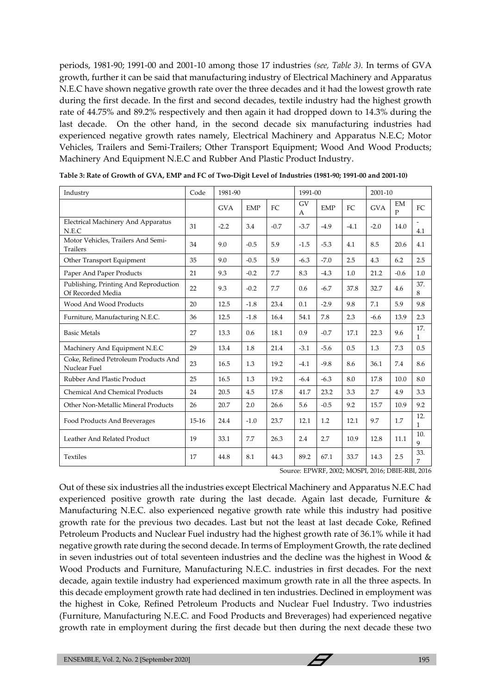periods, 1981-90; 1991-00 and 2001-10 among those 17 industries *(see, Table 3).* In terms of GVA growth, further it can be said that manufacturing industry of Electrical Machinery and Apparatus N.E.C have shown negative growth rate over the three decades and it had the lowest growth rate during the first decade. In the first and second decades, textile industry had the highest growth rate of 44.75% and 89.2% respectively and then again it had dropped down to 14.3% during the last decade. On the other hand, in the second decade six manufacturing industries had experienced negative growth rates namely, Electrical Machinery and Apparatus N.E.C; Motor Vehicles, Trailers and Semi-Trailers; Other Transport Equipment; Wood And Wood Products; Machinery And Equipment N.E.C and Rubber And Plastic Product Industry.

| Industry                                                   | Code    | 1981-90    |            |        | 1991-00        |            |        | 2001-10    |                    |                     |
|------------------------------------------------------------|---------|------------|------------|--------|----------------|------------|--------|------------|--------------------|---------------------|
|                                                            |         | <b>GVA</b> | <b>EMP</b> | FC     | <b>GV</b><br>A | <b>EMP</b> | FC     | <b>GVA</b> | EM<br>$\mathbf{P}$ | FC                  |
| Electrical Machinery And Apparatus<br>N.E.C                | 31      | $-2.2$     | 3.4        | $-0.7$ | $-3.7$         | $-4.9$     | $-4.1$ | $-2.0$     | 14.0               | ÷.<br>4.1           |
| Motor Vehicles, Trailers And Semi-<br><b>Trailers</b>      | 34      | 9.0        | $-0.5$     | 5.9    | $-1.5$         | $-5.3$     | 4.1    | 8.5        | 20.6               | 4.1                 |
| Other Transport Equipment                                  | 35      | 9.0        | $-0.5$     | 5.9    | $-6.3$         | $-7.0$     | 2.5    | 4.3        | 6.2                | 2.5                 |
| Paper And Paper Products                                   | 21      | 9.3        | $-0.2$     | 7.7    | 8.3            | $-4.3$     | 1.0    | 21.2       | $-0.6$             | 1.0                 |
| Publishing, Printing And Reproduction<br>Of Recorded Media | 22      | 9.3        | $-0.2$     | 7.7    | 0.6            | $-6.7$     | 37.8   | 32.7       | 4.6                | 37.<br>8            |
| Wood And Wood Products                                     | 20      | 12.5       | $-1.8$     | 23.4   | 0.1            | $-2.9$     | 9.8    | 7.1        | 5.9                | 9.8                 |
| Furniture, Manufacturing N.E.C.                            | 36      | 12.5       | $-1.8$     | 16.4   | 54.1           | 7.8        | 2.3    | $-6.6$     | 13.9               | 2.3                 |
| <b>Basic Metals</b>                                        | 27      | 13.3       | 0.6        | 18.1   | 0.9            | $-0.7$     | 17.1   | 22.3       | 9.6                | 17.<br>$\mathbf{1}$ |
| Machinery And Equipment N.E.C                              | 29      | 13.4       | 1.8        | 21.4   | $-3.1$         | $-5.6$     | 0.5    | 1.3        | 7.3                | 0.5                 |
| Coke, Refined Petroleum Products And<br>Nuclear Fuel       | 23      | 16.5       | 1.3        | 19.2   | $-4.1$         | $-9.8$     | 8.6    | 36.1       | 7.4                | 8.6                 |
| Rubber And Plastic Product                                 | 25      | 16.5       | 1.3        | 19.2   | $-6.4$         | $-6.3$     | 8.0    | 17.8       | 10.0               | 8.0                 |
| <b>Chemical And Chemical Products</b>                      | 24      | 20.5       | 4.5        | 17.8   | 41.7           | 23.2       | 3.3    | 2.7        | 4.9                | 3.3                 |
| Other Non-Metallic Mineral Products                        | 26      | 20.7       | 2.0        | 26.6   | 5.6            | $-0.5$     | 9.2    | 15.7       | 10.9               | 9.2                 |
| Food Products And Breverages                               | $15-16$ | 24.4       | $-1.0$     | 23.7   | 12.1           | 1.2        | 12.1   | 9.7        | 1.7                | 12.<br>1            |
| Leather And Related Product                                | 19      | 33.1       | 7.7        | 26.3   | 2.4            | 2.7        | 10.9   | 12.8       | 11.1               | 10.<br>9            |
| <b>Textiles</b>                                            | 17      | 44.8       | 8.1        | 44.3   | 89.2           | 67.1       | 33.7   | 14.3       | 2.5                | 33.<br>7            |

**Table 3: Rate of Growth of GVA, EMP and FC of Two-Digit Level of Industries (1981-90; 1991-00 and 2001-10)**

Source: EPWRF, 2002; MOSPI, 2016; DBIE-RBI, 2016

Out of these six industries all the industries except Electrical Machinery and Apparatus N.E.C had experienced positive growth rate during the last decade. Again last decade, Furniture & Manufacturing N.E.C. also experienced negative growth rate while this industry had positive growth rate for the previous two decades. Last but not the least at last decade Coke, Refined Petroleum Products and Nuclear Fuel industry had the highest growth rate of 36.1% while it had negative growth rate during the second decade. In terms of Employment Growth, the rate declined in seven industries out of total seventeen industries and the decline was the highest in Wood & Wood Products and Furniture, Manufacturing N.E.C. industries in first decades. For the next decade, again textile industry had experienced maximum growth rate in all the three aspects. In this decade employment growth rate had declined in ten industries. Declined in employment was the highest in Coke, Refined Petroleum Products and Nuclear Fuel Industry. Two industries (Furniture, Manufacturing N.E.C. and Food Products and Breverages) had experienced negative growth rate in employment during the first decade but then during the next decade these two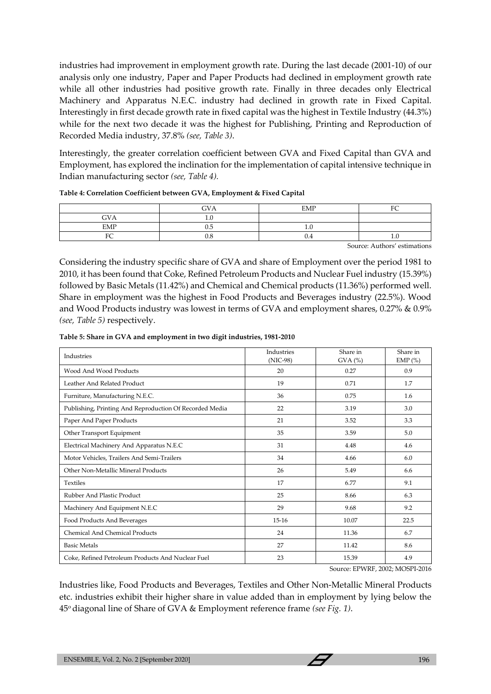industries had improvement in employment growth rate. During the last decade (2001-10) of our analysis only one industry, Paper and Paper Products had declined in employment growth rate while all other industries had positive growth rate. Finally in three decades only Electrical Machinery and Apparatus N.E.C. industry had declined in growth rate in Fixed Capital. Interestingly in first decade growth rate in fixed capital was the highest in Textile Industry (44.3%) while for the next two decade it was the highest for Publishing, Printing and Reproduction of Recorded Media industry, 37.8% *(see, Table 3)*.

Interestingly, the greater correlation coefficient between GVA and Fixed Capital than GVA and Employment, has explored the inclination for the implementation of capital intensive technique in Indian manufacturing sector *(see, Table 4).*

|                             | <b>GVA</b> | EMP        | <b>DO</b> |
|-----------------------------|------------|------------|-----------|
| <b>GVA</b>                  | .          |            |           |
| $\ensuremath{\mathrm{EMP}}$ | U.J        | <b>1.L</b> |           |
| $\mathbf{r}$<br>U           | 0.8        | 0.4        | 1.U       |

**Table 4: Correlation Coefficient between GVA, Employment & Fixed Capital**

Source: Authors' estimations

Considering the industry specific share of GVA and share of Employment over the period 1981 to 2010, it has been found that Coke, Refined Petroleum Products and Nuclear Fuel industry (15.39%) followed by Basic Metals (11.42%) and Chemical and Chemical products (11.36%) performed well. Share in employment was the highest in Food Products and Beverages industry (22.5%). Wood and Wood Products industry was lowest in terms of GVA and employment shares, 0.27% & 0.9% *(see, Table 5)* respectively.

|  |  | Table 5: Share in GVA and employment in two digit industries, 1981-2010 |
|--|--|-------------------------------------------------------------------------|
|--|--|-------------------------------------------------------------------------|

| Industries                                              | Industries<br>(NIC-98) | Share in<br>$GVA$ $%$ | Share in<br>EMP $(\% )$ |
|---------------------------------------------------------|------------------------|-----------------------|-------------------------|
| Wood And Wood Products                                  | 20                     | 0.27                  | 0.9                     |
| Leather And Related Product                             | 19                     | 0.71                  | 1.7                     |
| Furniture, Manufacturing N.E.C.                         | 36                     | 0.75                  | 1.6                     |
| Publishing, Printing And Reproduction Of Recorded Media | 22                     | 3.19                  | 3.0                     |
| Paper And Paper Products                                | 21                     | 3.52                  | 3.3                     |
| Other Transport Equipment                               | 35                     | 3.59                  | 5.0                     |
| Electrical Machinery And Apparatus N.E.C                | 31                     | 4.48                  | 4.6                     |
| Motor Vehicles, Trailers And Semi-Trailers              | 34                     | 4.66                  | 6.0                     |
| Other Non-Metallic Mineral Products                     | 26                     | 5.49                  | 6.6                     |
| <b>Textiles</b>                                         | 17                     | 6.77                  | 9.1                     |
| Rubber And Plastic Product                              | 25                     | 8.66                  | 6.3                     |
| Machinery And Equipment N.E.C                           | 29                     | 9.68                  | 9.2                     |
| Food Products And Beverages                             | $15-16$                | 10.07                 | 22.5                    |
| Chemical And Chemical Products                          | 24                     | 11.36                 | 6.7                     |
| <b>Basic Metals</b>                                     | 27                     | 11.42                 | 8.6                     |
| Coke, Refined Petroleum Products And Nuclear Fuel       | 23                     | 15.39                 | 4.9                     |

Source: EPWRF, 2002; MOSPI-2016

Industries like, Food Products and Beverages, Textiles and Other Non-Metallic Mineral Products etc. industries exhibit their higher share in value added than in employment by lying below the 45o diagonal line of Share of GVA & Employment reference frame *(see Fig. 1)*.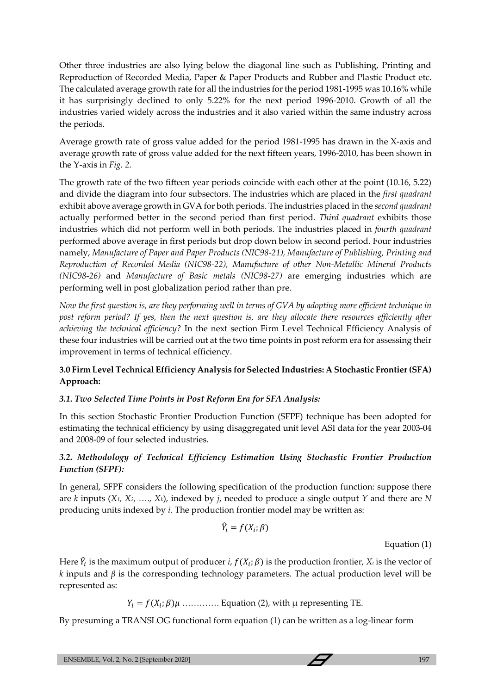Other three industries are also lying below the diagonal line such as Publishing, Printing and Reproduction of Recorded Media, Paper & Paper Products and Rubber and Plastic Product etc. The calculated average growth rate for all the industries for the period 1981-1995 was 10.16% while it has surprisingly declined to only 5.22% for the next period 1996-2010. Growth of all the industries varied widely across the industries and it also varied within the same industry across the periods.

Average growth rate of gross value added for the period 1981-1995 has drawn in the X-axis and average growth rate of gross value added for the next fifteen years, 1996-2010, has been shown in the Y-axis in *Fig. 2*.

The growth rate of the two fifteen year periods coincide with each other at the point (10.16, 5.22) and divide the diagram into four subsectors. The industries which are placed in the *first quadrant* exhibit above average growth in GVA for both periods. The industries placed in the *second quadrant* actually performed better in the second period than first period. *Third quadrant* exhibits those industries which did not perform well in both periods. The industries placed in *fourth quadrant* performed above average in first periods but drop down below in second period. Four industries namely, *Manufacture of Paper and Paper Products (NIC98-21), Manufacture of Publishing, Printing and Reproduction of Recorded Media (NIC98-22), Manufacture of other Non-Metallic Mineral Products (NIC98-26)* and *Manufacture of Basic metals (NIC98-27)* are emerging industries which are performing well in post globalization period rather than pre.

*Now the first question is, are they performing well in terms of GVA by adopting more efficient technique in post reform period? If yes, then the next question is, are they allocate there resources efficiently after achieving the technical efficiency?* In the next section Firm Level Technical Efficiency Analysis of these four industries will be carried out at the two time points in post reform era for assessing their improvement in terms of technical efficiency.

## **3.0 Firm Level Technical Efficiency Analysis for Selected Industries: A Stochastic Frontier (SFA) Approach:**

## *3.1. Two Selected Time Points in Post Reform Era for SFA Analysis:*

In this section Stochastic Frontier Production Function (SFPF) technique has been adopted for estimating the technical efficiency by using disaggregated unit level ASI data for the year 2003-04 and 2008-09 of four selected industries.

## *3.2. Methodology of Technical Efficiency Estimation Using Stochastic Frontier Production Function (SFPF):*

In general, SFPF considers the following specification of the production function: suppose there are *k* inputs (*X1, X2, …., Xk*), indexed by *j*, needed to produce a single output *Y* and there are *N* producing units indexed by *i*. The production frontier model may be written as:

$$
\hat{Y}_i = f(X_i; \beta)
$$

Equation (1)

Here  $\hat{Y}_i$  is the maximum output of producer *i*,  $f(X_i; \beta)$  is the production frontier,  $X_i$  is the vector of *k* inputs and *β* is the corresponding technology parameters. The actual production level will be represented as:

 $Y_i = f(X_i; \beta)\mu$  .............. Equation (2), with  $\mu$  representing TE.

By presuming a TRANSLOG functional form equation (1) can be written as a log-linear form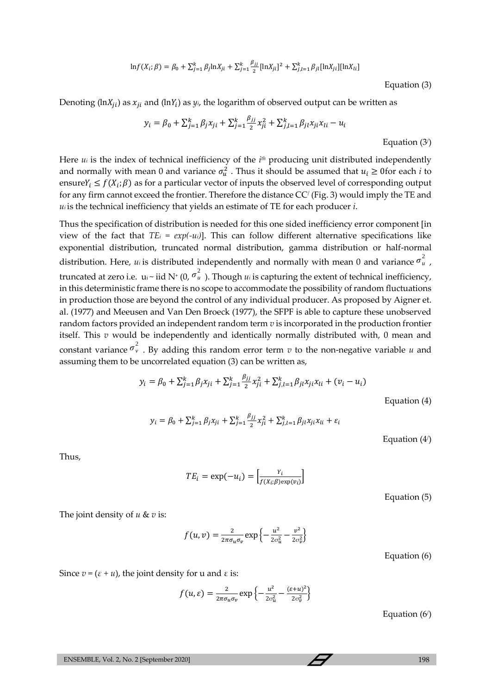$$
\ln f(X_i; \beta) = \beta_0 + \sum_{j=1}^k \beta_j \ln X_{ji} + \sum_{j=1}^k \frac{\beta_{jj}}{2} [\ln X_{ji}]^2 + \sum_{j,l=1}^k \beta_{jl} [\ln X_{jl}] [\ln X_{li}]
$$

Equation (3)

Denoting ( $\ln X_{ji}$ ) as  $x_{ji}$  and ( $\ln Y_i$ ) as  $y_i$ , the logarithm of observed output can be written as

$$
y_i = \beta_0 + \sum_{j=1}^k \beta_j x_{ji} + \sum_{j=1}^k \frac{\beta_{jj}}{2} x_{ji}^2 + \sum_{j,l=1}^k \beta_{jl} x_{ji} x_{li} - u_i
$$

Equation (3/ )

Here *u<sup>i</sup>* is the index of technical inefficiency of the *i th* producing unit distributed independently and normally with mean 0 and variance  $\sigma_u^2$ . Thus it should be assumed that  $u_i \geq 0$  for each *i* to ensure  $Y_i \leq f(X_i; \beta)$  as for a particular vector of inputs the observed level of corresponding output for any firm cannot exceed the frontier. Therefore the distance CC/ (Fig. 3) would imply the TE and *u<sup>i</sup>* is the technical inefficiency that yields an estimate of TE for each producer *i*.

Thus the specification of distribution is needed for this one sided inefficiency error component [in view of the fact that  $TE_i = exp(-u_i)$ . This can follow different alternative specifications like exponential distribution, truncated normal distribution, gamma distribution or half-normal distribution. Here, *ui* is distributed independently and normally with mean 0 and variance  $\sigma_u^2$ , truncated at zero i.e.  $u_i \sim i$ id N<sup>+</sup> (0,  $\sigma_u^2$ ). Though  $u_i$  is capturing the extent of technical inefficiency, in this deterministic frame there is no scope to accommodate the possibility of random fluctuations in production those are beyond the control of any individual producer. As proposed by Aigner et. al. (1977) and Meeusen and Van Den Broeck (1977), the SFPF is able to capture these unobserved random factors provided an independent random term *v* is incorporated in the production frontier itself. This *v* would be independently and identically normally distributed with, 0 mean and constant variance  $\sigma_v^2$ . By adding this random error term *v* to the non-negative variable *u* and assuming them to be uncorrelated equation (3) can be written as,

$$
y_i = \beta_0 + \sum_{j=1}^k \beta_j x_{ji} + \sum_{j=1}^k \frac{\beta_{jj}}{2} x_{ji}^2 + \sum_{j,l=1}^k \beta_{jl} x_{ji} x_{li} + (v_i - u_i)
$$

 $y_i = \beta_0 + \sum_{j=1}^k \beta_j x_{ji} + \sum_{j=1}^k \frac{\beta_{jj}}{2}$ 2  $\sum_{j=1}^{k} \beta_j x_{ji} + \sum_{j=1}^{k} \frac{\rho_{jj}}{2} x_{ji}^2 + \sum_{j,l=1}^{k} \beta_{jl} x_{ji} x_{li} + \varepsilon_i$ 

Equation (4/ )

Equation (4)

Thus,

$$
TE_i = \exp(-u_i) = \left[\frac{Y_i}{f(X_i;\beta)\exp(v_i)}\right]
$$

Equation (5)

The joint density of *u* & *v* is:

 $f(u, v) = \frac{2}{2\pi\epsilon}$  $\frac{2}{2\pi\sigma_u\sigma_v} \exp\left\{-\frac{u^2}{2\sigma_v^2}\right\}$  $rac{u^2}{2\sigma_u^2} - \frac{v^2}{2\sigma_v^2}$  $\frac{v}{2\sigma_v^2}$ 

Equation (6)

Since  $v = (\varepsilon + u)$ , the joint density for u and  $\varepsilon$  is:

$$
f(u,\varepsilon) = \frac{2}{2\pi\sigma_u\sigma_v} \exp\left\{-\frac{u^2}{2\sigma_u^2} - \frac{(\varepsilon + u)^2}{2\sigma_v^2}\right\}
$$

Equation (6/ )

ENSEMBLE, Vol. 2, No. 2 [September 2020] 198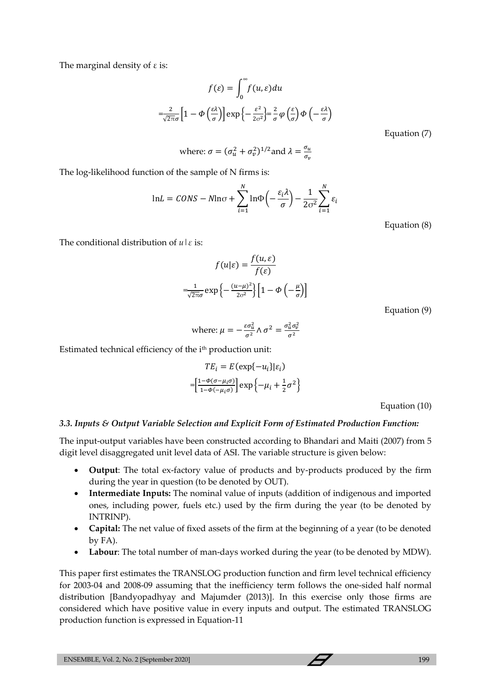The marginal density of  $\varepsilon$  is:

$$
f(\varepsilon) = \int_0^\infty f(u, \varepsilon) du
$$

$$
= \frac{2}{\sqrt{2\pi}\sigma} \Big[ 1 - \Phi\left(\frac{\varepsilon \lambda}{\sigma}\right) \Big] \exp\left\{-\frac{\varepsilon^2}{2\sigma^2}\right\} = \frac{2}{\sigma} \varphi\left(\frac{\varepsilon}{\sigma}\right) \Phi\left(-\frac{\varepsilon \lambda}{\sigma}\right)
$$

Equation (7)

where: 
$$
\sigma = (\sigma_u^2 + \sigma_v^2)^{1/2}
$$
 and  $\lambda = \frac{\sigma_u}{\sigma_v}$ 

The log-likelihood function of the sample of N firms is:

$$
\ln L = CONS - N \ln \sigma + \sum_{i=1}^{N} \ln \Phi \left( -\frac{\varepsilon_{i} \lambda}{\sigma} \right) - \frac{1}{2\sigma^{2}} \sum_{i=1}^{N} \varepsilon_{i}
$$

Equation (8)

The conditional distribution of *u*|*ε* is:

$$
f(u|\varepsilon) = \frac{f(u,\varepsilon)}{f(\varepsilon)}
$$

$$
= \frac{1}{\sqrt{2\pi}\sigma} \exp\left\{-\frac{(u-\mu)^2}{2\sigma^2}\right\} \left[1 - \Phi\left(-\frac{\mu}{\sigma}\right)\right]
$$

Equation (9)

where: 
$$
\mu = -\frac{\varepsilon \sigma_u^2}{\sigma^2} \wedge \sigma^2 = \frac{\sigma_u^2 \sigma_v^2}{\sigma^2}
$$

Estimated technical efficiency of the ith production unit:

$$
TE_i = E(\exp\{-u_i\}|\varepsilon_i)
$$

$$
= \left[\frac{1-\Phi(\sigma-\mu_i\sigma)}{1-\Phi(-\mu_i\sigma)}\right] \exp\left\{-\mu_i + \frac{1}{2}\sigma^2\right\}
$$

Equation (10)

#### *3.3. Inputs & Output Variable Selection and Explicit Form of Estimated Production Function:*

The input-output variables have been constructed according to Bhandari and Maiti (2007) from 5 digit level disaggregated unit level data of ASI. The variable structure is given below:

- **Output**: The total ex-factory value of products and by-products produced by the firm during the year in question (to be denoted by OUT).
- **Intermediate Inputs:** The nominal value of inputs (addition of indigenous and imported ones, including power, fuels etc.) used by the firm during the year (to be denoted by INTRINP).
- **Capital:** The net value of fixed assets of the firm at the beginning of a year (to be denoted by FA).
- **Labour**: The total number of man-days worked during the year (to be denoted by MDW).

This paper first estimates the TRANSLOG production function and firm level technical efficiency for 2003-04 and 2008-09 assuming that the inefficiency term follows the one-sided half normal distribution [Bandyopadhyay and Majumder (2013)]. In this exercise only those firms are considered which have positive value in every inputs and output. The estimated TRANSLOG production function is expressed in Equation-11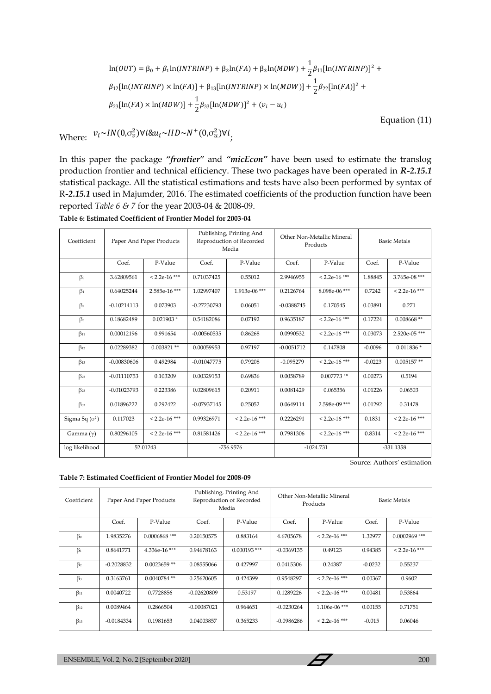$$
\ln(OUT) = \beta_0 + \beta_1 \ln(INTRINP) + \beta_2 \ln(FA) + \beta_3 \ln(MDW) + \frac{1}{2} \beta_{11} [\ln(INTRINP)]^2 +
$$
  
\n
$$
\beta_{12} [\ln(INTRINP) \times \ln(FA)] + \beta_{13} [\ln(INTRINP) \times \ln(MDW)] + \frac{1}{2} \beta_{22} [\ln(FA)]^2 +
$$
  
\n
$$
\beta_{23} [\ln(FA) \times \ln(MDW)] + \frac{1}{2} \beta_{33} [\ln(MDW)]^2 + (v_i - u_i)
$$

Equation (11)

Where:  $v_i \sim IN(0, \sigma_v^2) \forall i \& u_i \sim IID \sim N^+(0, \sigma_u^2) \forall i$ 

In this paper the package *"frontier"* and *"micEcon"* have been used to estimate the translog production frontier and technical efficiency. These two packages have been operated in *R-2.15.1* statistical package. All the statistical estimations and tests have also been performed by syntax of R*-2.15.1* used in Majumder, 2016. The estimated coefficients of the production function have been reported *Table 6 & 7* for the year 2003-04 & 2008-09.

| Coefficient           |               | Paper And Paper Products | Publishing, Printing And<br>Reproduction of Recorded<br>Media |                 | Other Non-Metallic Mineral<br>Products |                 | <b>Basic Metals</b> |                 |
|-----------------------|---------------|--------------------------|---------------------------------------------------------------|-----------------|----------------------------------------|-----------------|---------------------|-----------------|
|                       | Coef.         | P-Value                  | Coef.                                                         | P-Value         | Coef.                                  | P-Value         | Coef.               | P-Value         |
| $\beta_0$             | 3.62809561    | $< 2.2e-16$ ***          | 0.71037425                                                    | 0.55012         | 2.9946955                              | $< 2.2e-16$ *** | 1.88845             | 3.765e-08***    |
| $\beta_1$             | 0.64025244    | 2.585e-16***             | 1.02997407                                                    | 1.913e-06***    | 0.2126764                              | 8.098e-06***    | 0.7242              | $< 2.2e-16$ *** |
| $\beta_2$             | $-0.10214113$ | 0.073903                 | $-0.27230793$                                                 | 0.06051         | $-0.0388745$                           | 0.170545        | 0.03891             | 0.271           |
| $\beta$ <sub>3</sub>  | 0.18682489    | $0.021903*$              | 0.54182086                                                    | 0.07192         | 0.9635187                              | $< 2.2e-16$ *** | 0.17224             | $0.008668$ **   |
| $\beta_{11}$          | 0.00012196    | 0.991654                 | $-0.00560535$                                                 | 0.86268         | 0.0990532                              | $< 2.2e-16$ *** | 0.03073             | 2.520e-05***    |
| $\beta_{12}$          | 0.02289382    | $0.003821$ **            | 0.00059953                                                    | 0.97197         | $-0.0051712$                           | 0.147808        | $-0.0096$           | $0.011836*$     |
| $\beta_{13}$          | $-0.00830606$ | 0.492984                 | $-0.01047775$                                                 | 0.79208         | $-0.095279$                            | $< 2.2e-16$ *** | $-0.0223$           | $0.005157**$    |
| $\beta_{22}$          | $-0.01110753$ | 0.103209                 | 0.00329153                                                    | 0.69836         | 0.0058789                              | $0.007773**$    | 0.00273             | 0.5194          |
| $\beta_{23}$          | $-0.01023793$ | 0.223386                 | 0.02809615                                                    | 0.20911         | 0.0081429                              | 0.065356        | 0.01226             | 0.06503         |
| $\beta$ <sub>33</sub> | 0.01896222    | 0.292422                 | $-0.07937145$                                                 | 0.25052         | 0.0649114                              | $2.598e-09$ *** | 0.01292             | 0.31478         |
| Sigma Sq $(\sigma^2)$ | 0.117023      | $< 2.2e-16$ ***          | 0.99326971                                                    | $< 2.2e-16$ *** | 0.2226291                              | $< 2.2e-16$ *** | 0.1831              | $< 2.2e-16$ *** |
| Gamma $(\gamma)$      | 0.80296105    | $< 2.2e-16$ ***          | 0.81581426                                                    | $< 2.2e-16$ *** | 0.7981306                              | $< 2.2e-16$ *** | 0.8314              | $< 2.2e-16$ *** |
| log likelihood        |               | 52.01243                 |                                                               | -756.9576       |                                        | $-1024.731$     | $-331.1358$         |                 |

Source: Authors' estimation

| Coefficient  |              | Paper And Paper Products | Publishing, Printing And<br>Reproduction of Recorded<br>Media |                |              | Other Non-Metallic Mineral<br>Products | <b>Basic Metals</b> |                 |  |
|--------------|--------------|--------------------------|---------------------------------------------------------------|----------------|--------------|----------------------------------------|---------------------|-----------------|--|
|              | Coef.        | P-Value                  | Coef.                                                         | P-Value        | Coef.        | P-Value                                | Coef.               | P-Value         |  |
| $\beta_0$    | 1.9835276    | $0.0006868$ ***          | 0.20150575                                                    | 0.883164       | 4.6705678    | $< 2.2e-16$ ***                        | 1.32977             | $0.0002969$ *** |  |
| $\beta_1$    | 0.8641771    | $4.336e-16$ ***          | 0.94678163                                                    | $0.000193$ *** | $-0.0369135$ | 0.49123                                | 0.94385             | $< 2.2e-16$ *** |  |
| $\beta_2$    | $-0.2028832$ | $0.0023659$ **           | 0.08555066                                                    | 0.427997       | 0.0415306    | 0.24387                                | $-0.0232$           | 0.55237         |  |
| $\beta_3$    | 0.3163761    | $0.0040784$ **           | 0.25620605                                                    | 0.424399       | 0.9548297    | $< 2.2e-16$ ***                        | 0.00367             | 0.9602          |  |
| $\beta_{11}$ | 0.0040722    | 0.7728856                | $-0.02620809$                                                 | 0.53197        | 0.1289226    | $< 2.2e-16$ ***                        | 0.00481             | 0.53864         |  |
| $\beta_{12}$ | 0.0089464    | 0.2866504                | $-0.00087021$                                                 | 0.964651       | $-0.0230264$ | $1.106e-06$ ***                        | 0.00155             | 0.71751         |  |
| $\beta_{13}$ | $-0.0184334$ | 0.1981653                | 0.04003857                                                    | 0.365233       | $-0.0986286$ | $< 2.2e-16$ ***                        | $-0.015$            | 0.06046         |  |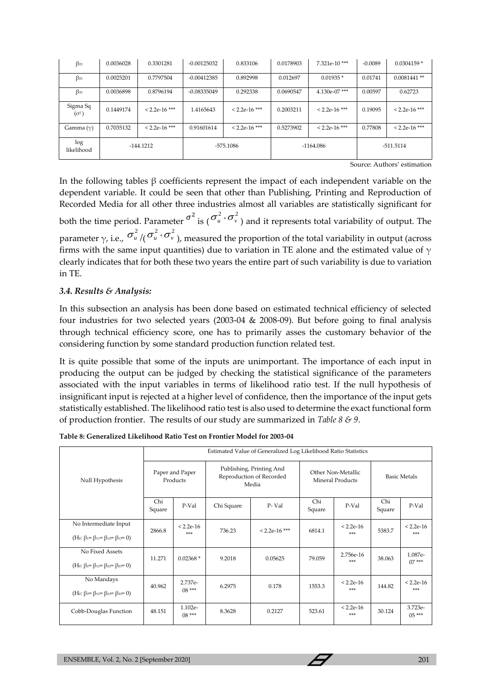| $\beta_{22}$             | 0.0036028 | 0.3301281       | $-0.00125032$ | 0.833106        | 0.0178903   | 7.321e-10***    | $-0.0089$ | $0.0304159*$    |
|--------------------------|-----------|-----------------|---------------|-----------------|-------------|-----------------|-----------|-----------------|
| $\beta_{23}$             | 0.0025201 | 0.7797504       | $-0.00412385$ | 0.892998        | 0.012697    | $0.01935*$      | 0.01741   | $0.0081441$ **  |
| $\beta$ <sub>33</sub>    | 0.0036898 | 0.8796194       | $-0.08335049$ | 0.292338        | 0.0690547   | $4.130e-07$ *** | 0.00597   | 0.62723         |
| Sigma Sq<br>$(\sigma^2)$ | 0.1449174 | $< 2.2e-16$ *** | 1.4165643     | $< 2.2e-16$ *** | 0.2003211   | $< 2.2e-16$ *** | 0.19095   | $< 2.2e-16$ *** |
| Gamma $(\gamma)$         | 0.7035132 | $< 2.2e-16$ *** | 0.91601614    | $< 2.2e-16$ *** | 0.5273902   | $< 2.2e-16$ *** | 0.77808   | $< 2.2e-16$ *** |
| log<br>likelihood        |           | $-144.1212$     | -575.1086     |                 | $-1164.086$ |                 |           | -511.5114       |

Source: Authors' estimation

In the following tables  $\beta$  coefficients represent the impact of each independent variable on the dependent variable. It could be seen that other than Publishing, Printing and Reproduction of Recorded Media for all other three industries almost all variables are statistically significant for

both the time period. Parameter  $\sigma^2$  is  $(\sigma_u^2+\sigma_v^2)$  and it represents total variability of output. The parameter  $\gamma$ , i.e.,  $\sigma^2_u$  /(  $\sigma^2_u$  +  $\sigma^2_v$  ), measured the proportion of the total variability in output (across firms with the same input quantities) due to variation in TE alone and the estimated value of  $\gamma$ clearly indicates that for both these two years the entire part of such variability is due to variation in TE.

## *3.4. Results & Analysis:*

In this subsection an analysis has been done based on estimated technical efficiency of selected four industries for two selected years (2003-04 & 2008-09). But before going to final analysis through technical efficiency score, one has to primarily asses the customary behavior of the considering function by some standard production function related test.

It is quite possible that some of the inputs are unimportant. The importance of each input in producing the output can be judged by checking the statistical significance of the parameters associated with the input variables in terms of likelihood ratio test. If the null hypothesis of insignificant input is rejected at a higher level of confidence, then the importance of the input gets statistically established. The likelihood ratio test is also used to determine the exact functional form of production frontier. The results of our study are summarized in *Table 8 & 9*.

|  |  | Table 8: Generalized Likelihood Ratio Test on Frontier Model for 2003-04 |
|--|--|--------------------------------------------------------------------------|
|--|--|--------------------------------------------------------------------------|

|                                                                                                   | Estimated Value of Generalized Log Likelihood Ratio Statistics |                             |            |                                                               |                                               |                    |                     |                     |  |
|---------------------------------------------------------------------------------------------------|----------------------------------------------------------------|-----------------------------|------------|---------------------------------------------------------------|-----------------------------------------------|--------------------|---------------------|---------------------|--|
| Null Hypothesis                                                                                   |                                                                | Paper and Paper<br>Products |            | Publishing, Printing And<br>Reproduction of Recorded<br>Media | Other Non-Metallic<br><b>Mineral Products</b> |                    | <b>Basic Metals</b> |                     |  |
|                                                                                                   | Chi<br>Square                                                  | P-Val                       | Chi Square | P-Val                                                         | Chi<br>Square                                 | P-Val              | Chi<br>Square       | P-Val               |  |
| No Intermediate Input<br>(H <sub>0</sub> : $\beta_1 = \beta_{11} = \beta_{12} = \beta_{13} = 0$ ) | 2866.8                                                         | $< 2.2e-16$<br>***          | 736.23     | $< 2.2e-16$ ***                                               | 6814.1                                        | $< 2.2e-16$<br>*** | 5383.7              | $< 2.2e-16$<br>***  |  |
| No Fixed Assets<br>(H <sub>0</sub> : $\beta_{2} = \beta_{12} = \beta_{22} = \beta_{23} = 0$ )     | 11.271                                                         | $0.02368*$                  | 9.2018     | 0.05625                                                       | 79.059                                        | 2.756e-16<br>***   | 38.063              | 1.087e-<br>$07***$  |  |
| No Mandays<br>(H <sub>0</sub> : $\beta_{3} = \beta_{13} = \beta_{23} = \beta_{33} = 0$ )          | 40.962                                                         | 2.737e-<br>$08***$          | 6.2975     | 0.178                                                         | 1553.3                                        | $< 2.2e-16$<br>*** | 144.82              | $< 2.2e-16$<br>***  |  |
| Cobb-Douglas Function                                                                             | 48.151                                                         | 1.102e-<br>$08***$          | 8.3628     | 0.2127                                                        | 523.61                                        | $< 2.2e-16$<br>*** | 30.124              | 3.723e-<br>$0.5***$ |  |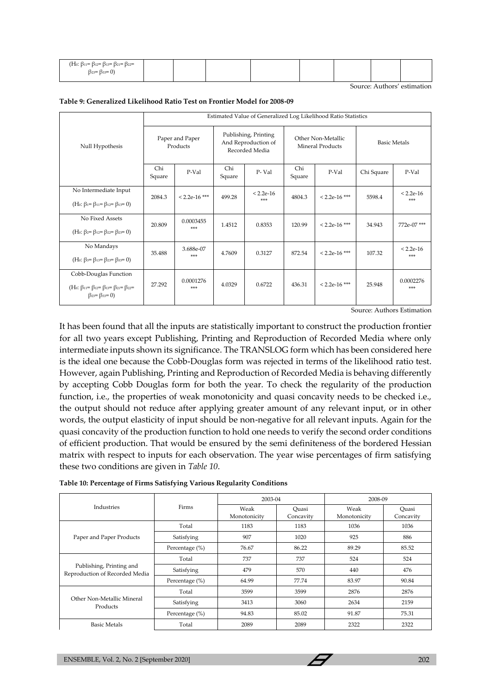| (H <sub>0</sub> : $\beta_{11} = \beta_{12} = \beta_{13} = \beta_{21} = \beta_{22} =$ |  |  |  |  |
|--------------------------------------------------------------------------------------|--|--|--|--|
| $\beta_{23} = \beta_{33} = 0$                                                        |  |  |  |  |

Source: Authors' estimation

| Table 9: Generalized Likelihood Ratio Test on Frontier Model for 2008-09 |  |  |  |
|--------------------------------------------------------------------------|--|--|--|
|--------------------------------------------------------------------------|--|--|--|

|                                                                                                                       | Estimated Value of Generalized Log Likelihood Ratio Statistics |                 |                                                               |             |                                               |                 |                     |             |  |
|-----------------------------------------------------------------------------------------------------------------------|----------------------------------------------------------------|-----------------|---------------------------------------------------------------|-------------|-----------------------------------------------|-----------------|---------------------|-------------|--|
| Null Hypothesis                                                                                                       | Paper and Paper<br>Products                                    |                 | Publishing, Printing<br>And Reproduction of<br>Recorded Media |             | Other Non-Metallic<br><b>Mineral Products</b> |                 | <b>Basic Metals</b> |             |  |
|                                                                                                                       | Chi<br>Square                                                  | P-Val           | Chi<br>Square                                                 | P-Val       | Chi<br>Square                                 | P-Val           | Chi Square          | P-Val       |  |
| No Intermediate Input                                                                                                 |                                                                | $< 2.2e-16$ *** | 499.28                                                        | $< 2.2e-16$ | 4804.3                                        | $< 2.2e-16$ *** | 5598.4              | $< 2.2e-16$ |  |
| (H <sub>0</sub> : $\beta_1 = \beta_{11} = \beta_{12} = \beta_{13} = 0$ )                                              | 2084.3                                                         |                 |                                                               | ***         |                                               |                 |                     | ***         |  |
| No Fixed Assets                                                                                                       | 20.809                                                         | 0.0003455       | 1.4512                                                        | 0.8353      | 120.99                                        | $< 2.2e-16$ *** | 34.943              | 772e-07***  |  |
| (H <sub>0</sub> : $\beta_{2} = \beta_{12} = \beta_{22} = \beta_{23} = 0$ )                                            |                                                                |                 | ***                                                           |             |                                               |                 |                     |             |  |
| No Mandays                                                                                                            | 35.488                                                         | 3.688e-07       | 4.7609                                                        | 0.3127      | 872.54                                        | $< 2.2e-16$ *** | 107.32              | $< 2.2e-16$ |  |
| (H <sub>0</sub> : $\beta_{3} = \beta_{13} = \beta_{23} = \beta_{33} = 0$ )                                            |                                                                | ***             |                                                               |             |                                               |                 |                     | ***         |  |
| Cobb-Douglas Function                                                                                                 |                                                                | 0.0001276       |                                                               |             |                                               |                 |                     | 0.0002276   |  |
| (H <sub>0</sub> : $\beta_{11} = \beta_{12} = \beta_{13} = \beta_{21} = \beta_{22} =$<br>$\beta_{23} = \beta_{33} = 0$ | 27.292                                                         | ***             | 4.0329                                                        | 0.6722      | 436.31                                        | $< 2.2e-16$ *** | 25.948              | ***         |  |

Source: Authors Estimation

It has been found that all the inputs are statistically important to construct the production frontier for all two years except Publishing, Printing and Reproduction of Recorded Media where only intermediate inputs shown its significance. The TRANSLOG form which has been considered here is the ideal one because the Cobb-Douglas form was rejected in terms of the likelihood ratio test. However, again Publishing, Printing and Reproduction of Recorded Media is behaving differently by accepting Cobb Douglas form for both the year. To check the regularity of the production function, i.e., the properties of weak monotonicity and quasi concavity needs to be checked i.e., the output should not reduce after applying greater amount of any relevant input, or in other words, the output elasticity of input should be non-negative for all relevant inputs. Again for the quasi concavity of the production function to hold one needs to verify the second order conditions of efficient production. That would be ensured by the semi definiteness of the bordered Hessian matrix with respect to inputs for each observation. The year wise percentages of firm satisfying these two conditions are given in *Table 10*.

|                                                            |                | 2003-04              |                    | 2008-09              |                    |  |
|------------------------------------------------------------|----------------|----------------------|--------------------|----------------------|--------------------|--|
| Industries                                                 | Firms          | Weak<br>Monotonicity | Ouasi<br>Concavity | Weak<br>Monotonicity | Ouasi<br>Concavity |  |
|                                                            | Total          | 1183                 | 1183               | 1036                 | 1036               |  |
| Paper and Paper Products                                   | Satisfying     | 907                  | 1020               | 925                  | 886                |  |
|                                                            | Percentage (%) | 76.67                | 86.22              | 89.29                | 85.52              |  |
| Publishing, Printing and<br>Reproduction of Recorded Media | Total          | 737                  | 737                | 524                  | 524                |  |
|                                                            | Satisfying     | 479                  | 570                | 440                  | 476                |  |
|                                                            | Percentage (%) | 64.99                | 77.74              | 83.97                | 90.84              |  |
| Other Non-Metallic Mineral<br>Products                     | Total          | 3599                 | 3599               | 2876                 | 2876               |  |
|                                                            | Satisfying     | 3413                 | 3060               | 2634                 | 2159               |  |
|                                                            | Percentage (%) | 94.83                | 85.02              | 91.87                | 75.31              |  |
| <b>Basic Metals</b>                                        | Total          | 2089                 | 2089               | 2322                 | 2322               |  |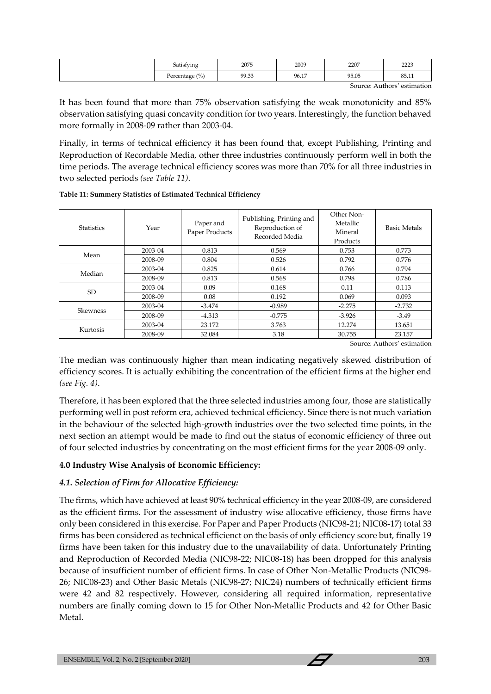| Satisfying     | 2075  | 2009  | 2207  | בררר<br>2223 |
|----------------|-------|-------|-------|--------------|
| Percentage (%) | 99.33 | 96.17 | 95.05 | 85.11        |

Source: Authors' estimation

It has been found that more than 75% observation satisfying the weak monotonicity and 85% observation satisfying quasi concavity condition for two years. Interestingly, the function behaved more formally in 2008-09 rather than 2003-04.

Finally, in terms of technical efficiency it has been found that, except Publishing, Printing and Reproduction of Recordable Media, other three industries continuously perform well in both the time periods. The average technical efficiency scores was more than 70% for all three industries in two selected periods *(see Table 11)*.

| <b>Statistics</b> | Year    | Paper and<br>Paper Products | Publishing, Printing and<br>Reproduction of<br>Recorded Media | Other Non-<br>Metallic<br>Mineral<br>Products | <b>Basic Metals</b> |
|-------------------|---------|-----------------------------|---------------------------------------------------------------|-----------------------------------------------|---------------------|
| Mean              | 2003-04 | 0.813                       | 0.569                                                         | 0.753                                         | 0.773               |
|                   | 2008-09 | 0.804                       | 0.526                                                         | 0.792                                         | 0.776               |
| Median            | 2003-04 | 0.825                       | 0.614                                                         | 0.766                                         | 0.794               |
|                   | 2008-09 | 0.813                       | 0.568                                                         | 0.798                                         | 0.786               |
| <b>SD</b>         | 2003-04 | 0.09                        | 0.168                                                         | 0.11                                          | 0.113               |
|                   | 2008-09 | 0.08                        | 0.192                                                         | 0.069                                         | 0.093               |
|                   | 2003-04 | $-3.474$                    | $-0.989$                                                      | $-2.275$                                      | $-2.732$            |
| <b>Skewness</b>   | 2008-09 | $-4.313$                    | $-0.775$                                                      | $-3.926$                                      | $-3.49$             |
|                   | 2003-04 | 23.172                      | 3.763                                                         | 12.274                                        | 13.651              |
| Kurtosis          | 2008-09 | 32.084                      | 3.18                                                          | 30.755                                        | 23.157              |

**Table 11: Summery Statistics of Estimated Technical Efficiency**

Source: Authors' estimation

The median was continuously higher than mean indicating negatively skewed distribution of efficiency scores. It is actually exhibiting the concentration of the efficient firms at the higher end *(see Fig. 4)*.

Therefore, it has been explored that the three selected industries among four, those are statistically performing well in post reform era, achieved technical efficiency. Since there is not much variation in the behaviour of the selected high-growth industries over the two selected time points, in the next section an attempt would be made to find out the status of economic efficiency of three out of four selected industries by concentrating on the most efficient firms for the year 2008-09 only.

### **4.0 Industry Wise Analysis of Economic Efficiency:**

## *4.1. Selection of Firm for Allocative Efficiency:*

The firms, which have achieved at least 90% technical efficiency in the year 2008-09, are considered as the efficient firms. For the assessment of industry wise allocative efficiency, those firms have only been considered in this exercise. For Paper and Paper Products (NIC98-21; NIC08-17) total 33 firms has been considered as technical efficienct on the basis of only efficiency score but, finally 19 firms have been taken for this industry due to the unavailability of data. Unfortunately Printing and Reproduction of Recorded Media (NIC98-22; NIC08-18) has been dropped for this analysis because of insufficient number of efficient firms. In case of Other Non-Metallic Products (NIC98- 26; NIC08-23) and Other Basic Metals (NIC98-27; NIC24) numbers of technically efficient firms were 42 and 82 respectively. However, considering all required information, representative numbers are finally coming down to 15 for Other Non-Metallic Products and 42 for Other Basic Metal.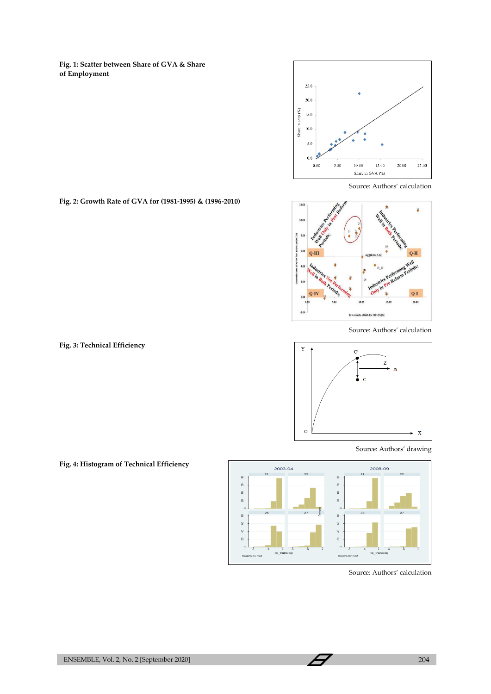**Fig. 1: Scatter between Share of GVA & Share of Employment**



Source: Authors' calculation



Source: Authors' calculation



Source: Authors' drawing



Source: Authors' calculation

**Fig. 2: Growth Rate of GVA for (1981-1995) & (1996-2010)**

**Fig. 3: Technical Efficiency**

**Fig. 4: Histogram of Technical Efficiency**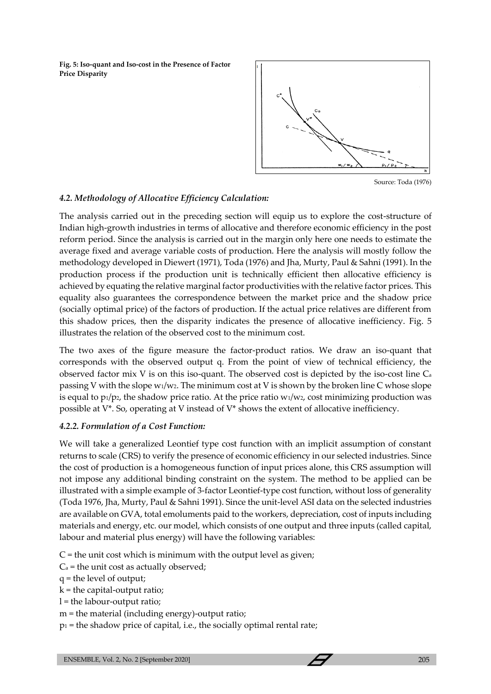**Fig. 5: Iso-quant and Iso-cost in the Presence of Factor Price Disparity**



Source: Toda (1976)

## *4.2. Methodology of Allocative Efficiency Calculation:*

The analysis carried out in the preceding section will equip us to explore the cost-structure of Indian high-growth industries in terms of allocative and therefore economic efficiency in the post reform period. Since the analysis is carried out in the margin only here one needs to estimate the average fixed and average variable costs of production. Here the analysis will mostly follow the methodology developed in Diewert (1971), Toda (1976) and Jha, Murty, Paul & Sahni (1991). In the production process if the production unit is technically efficient then allocative efficiency is achieved by equating the relative marginal factor productivities with the relative factor prices. This equality also guarantees the correspondence between the market price and the shadow price (socially optimal price) of the factors of production. If the actual price relatives are different from this shadow prices, then the disparity indicates the presence of allocative inefficiency. Fig. 5 illustrates the relation of the observed cost to the minimum cost.

The two axes of the figure measure the factor-product ratios. We draw an iso-quant that corresponds with the observed output q. From the point of view of technical efficiency, the observed factor mix V is on this iso-quant. The observed cost is depicted by the iso-cost line C<sup>a</sup> passing V with the slope  $w_1/w_2$ . The minimum cost at V is shown by the broken line C whose slope is equal to  $p_1/p_2$ , the shadow price ratio. At the price ratio  $w_1/w_2$ , cost minimizing production was possible at V\*. So, operating at V instead of V\* shows the extent of allocative inefficiency.

## *4.2.2. Formulation of a Cost Function:*

We will take a generalized Leontief type cost function with an implicit assumption of constant returns to scale (CRS) to verify the presence of economic efficiency in our selected industries. Since the cost of production is a homogeneous function of input prices alone, this CRS assumption will not impose any additional binding constraint on the system. The method to be applied can be illustrated with a simple example of 3-factor Leontief-type cost function, without loss of generality (Toda 1976, Jha, Murty, Paul & Sahni 1991). Since the unit-level ASI data on the selected industries are available on GVA, total emoluments paid to the workers, depreciation, cost of inputs including materials and energy, etc. our model, which consists of one output and three inputs (called capital, labour and material plus energy) will have the following variables:

- $C =$  the unit cost which is minimum with the output level as given;
- $C_a$  = the unit cost as actually observed;
- q = the level of output;
- $k =$  the capital-output ratio;
- l = the labour-output ratio;
- m = the material (including energy)-output ratio;
- $p_1$  = the shadow price of capital, i.e., the socially optimal rental rate;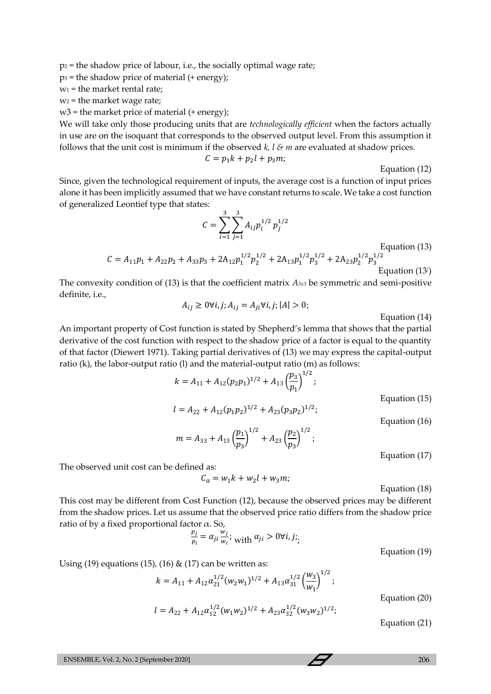$p_2$  = the shadow price of labour, i.e., the socially optimal wage rate;

 $p_3$  = the shadow price of material (+ energy);

 $w_1$  = the market rental rate;

 $w_2$  = the market wage rate;

 $w3$  = the market price of material (+ energy);

We will take only those producing units that are *technologically efficient* when the factors actually in use are on the isoquant that corresponds to the observed output level. From this assumption it follows that the unit cost is minimum if the observed *k, l & m* are evaluated at shadow prices.

$$
C = p_1 k + p_2 l + p_3 m;
$$

Equation (12)

Since, given the technological requirement of inputs, the average cost is a function of input prices alone it has been implicitly assumed that we have constant returns to scale. We take a cost function of generalized Leontief type that states:

$$
C = \sum_{i=1}^{3} \sum_{j=1}^{3} A_{ij} p_i^{1/2} p_j^{1/2}
$$

Equation (13)

$$
C = A_{11}p_1 + A_{22}p_2 + A_{33}p_3 + 2A_{12}p_1^{1/2}p_2^{1/2} + 2A_{13}p_1^{1/2}p_3^{1/2} + 2A_{23}p_2^{1/2}p_3^{1/2}
$$
  
Equation (13)

The convexity condition of (13) is that the coefficient matrix *A3x3* be symmetric and semi-positive definite, i.e.,

$$
A_{ij} \ge 0 \forall i, j; A_{ij} = A_{ji} \forall i, j; |A| > 0;
$$

Equation (14)

An important property of Cost function is stated by Shepherd's lemma that shows that the partial derivative of the cost function with respect to the shadow price of a factor is equal to the quantity of that factor (Diewert 1971). Taking partial derivatives of (13) we may express the capital-output ratio (k), the labor-output ratio (l) and the material-output ratio (m) as follows:

$$
k = A_{11} + A_{12}(p_2p_1)^{1/2} + A_{13}\left(\frac{p_3}{p_1}\right)^{1/2};
$$
 Equation (15)

$$
l = A_{22} + A_{12}(p_1 p_2)^{1/2} + A_{23}(p_3 p_2)^{1/2};
$$
 Equation (16)

$$
m = A_{33} + A_{13} \left(\frac{p_1}{p_3}\right)^{1/2} + A_{23} \left(\frac{p_2}{p_3}\right)^{1/2};
$$

Equation (17)

The observed unit cost can be defined as:

$$
C_a = w_1 k + w_2 l + w_3 m;
$$

Equation (18)

This cost may be different from Cost Function (12), because the observed prices may be different from the shadow prices. Let us assume that the observed price ratio differs from the shadow price ratio of by a fixed proportional factor  $\alpha$ . So,

$$
\frac{p_j}{p_i} = \alpha_{ji} \frac{w_j}{w_i};
$$
 with  $\alpha_{ji} > 0 \forall i, j;$ 

Equation (19)

Using (19) equations (15), (16)  $\&$  (17) can be written as:

$$
k = A_{11} + A_{12} \alpha_{21}^{1/2} (w_2 w_1)^{1/2} + A_{13} \alpha_{31}^{1/2} \left(\frac{w_3}{w_1}\right)^{1/2};
$$
  

$$
l = A_{22} + A_{12} \alpha_{12}^{1/2} (w_1 w_2)^{1/2} + A_{23} \alpha_{32}^{1/2} (w_3 w_2)^{1/2};
$$

Equation (20)

Equation (21)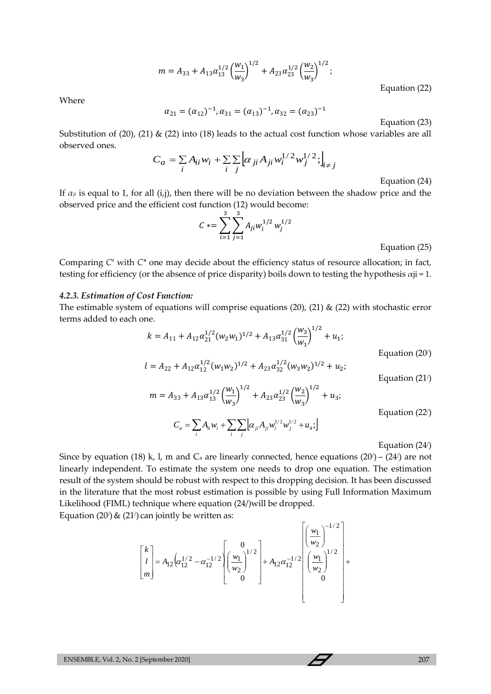$$
m = A_{33} + A_{13} \alpha_{13}^{1/2} \left(\frac{w_1}{w_3}\right)^{1/2} + A_{23} \alpha_{23}^{1/2} \left(\frac{w_2}{w_3}\right)^{1/2};
$$

Equation (22)

Where

$$
\alpha_{21} = (\alpha_{12})^{-1}, \alpha_{31} = (\alpha_{13})^{-1}, \alpha_{32} = (\alpha_{23})^{-1}
$$

Equation (23)

Substitution of (20), (21)  $\&$  (22) into (18) leads to the actual cost function whose variables are all observed ones.

$$
C_a = \sum_i A_{ii} w_i + \sum_i \sum_j \left[ \alpha_{ji} A_{ji} w_i^{1/2} w_j^{1/2}; \right]_{i \neq j}
$$

Equation (24)

If  $\alpha_{ji}$  is equal to 1, for all (i,j), then there will be no deviation between the shadow price and the observed price and the efficient cost function (12) would become:

$$
C \equiv \sum_{i=1}^{3} \sum_{j=1}^{3} A_{ji} w_i^{1/2} w_j^{1/2}
$$

Equation (25)

Comparing  $C^a$  with  $C^*$  one may decide about the efficiency status of resource allocation; in fact, testing for efficiency (or the absence of price disparity) boils down to testing the hypothesis  $\alpha$ ji = 1.

#### *4.2.3. Estimation of Cost Function:*

The estimable system of equations will comprise equations (20), (21)  $\&$  (22) with stochastic error terms added to each one.  $\overline{1}$ 

$$
k = A_{11} + A_{12} \alpha_{21}^{1/2} (w_2 w_1)^{1/2} + A_{13} \alpha_{31}^{1/2} \left(\frac{w_3}{w_1}\right)^{1/2} + u_1;
$$
  
\nEquation (20')  
\n
$$
l = A_{22} + A_{12} \alpha_{12}^{1/2} (w_1 w_2)^{1/2} + A_{23} \alpha_{32}^{1/2} (w_3 w_2)^{1/2} + u_2;
$$

Equation (21/ )

$$
m = A_{33} + A_{13} \alpha_{13}^{1/2} \left(\frac{w_1}{w_3}\right)^{1/2} + A_{23} \alpha_{23}^{1/2} \left(\frac{w_2}{w_3}\right)^{1/2} + u_3;
$$

Equation (22/ )

 $C_a = \sum_i A_{ii} w_i + \sum_i \sum_j \left[ \alpha_{ji} A_{ji} w_i^{1/2} w_j^{1/2} + u_4 \right]$ 

Equation (24/ )

Since by equation (18) k, l, m and  $C_a$  are linearly connected, hence equations (20') – (24') are not linearly independent. To estimate the system one needs to drop one equation. The estimation result of the system should be robust with respect to this dropping decision. It has been discussed in the literature that the most robust estimation is possible by using Full Information Maximum Likelihood (FIML) technique where equation (24/)will be dropped. Equation  $(20')$  &  $(21')$  can jointly be written as:

$$
\begin{bmatrix} k \\ l \\ m \end{bmatrix} = A_{12} \left( \alpha_{12}^{1/2} - \alpha_{12}^{-1/2} \left[ \left( \frac{w_1}{w_2} \right)^{1/2} \right] + A_{12} \alpha_{12}^{-1/2} \left[ \left( \frac{w_1}{w_2} \right)^{1/2} \right] + \alpha_{12}^{-1/2} \left[ \left( \frac{w_1}{w_2} \right)^{1/2} \right]
$$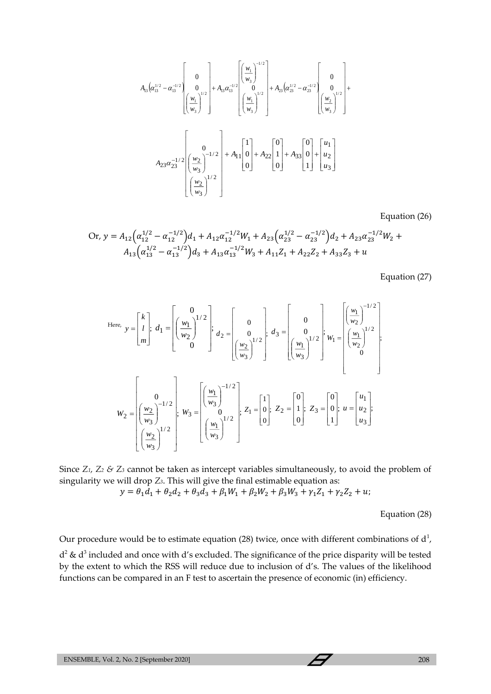$$
A_{13} \left( \alpha_{13}^{1/2} - \alpha_{13}^{-1/2} \begin{bmatrix} 0 \\ 0 \\ \frac{w_1}{w_3} \end{bmatrix} \right) + A_{13} \alpha_{13}^{-1/2} \begin{bmatrix} \left( \frac{w_1}{w_3} \right)^{-1/2} \\ 0 \\ \left( \frac{w_1}{w_3} \right)^{1/2} \end{bmatrix} + A_{23} \left( \alpha_{23}^{1/2} - \alpha_{23}^{-1/2} \begin{bmatrix} 0 \\ 0 \\ \frac{w_2}{w_3} \end{bmatrix} \right) + A_{11} \begin{bmatrix} 1 \\ 0 \\ 0 \end{bmatrix} + A_{22} \begin{bmatrix} 0 \\ 1 \\ 0 \end{bmatrix} + A_{33} \begin{bmatrix} 0 \\ 0 \\ 1 \end{bmatrix} + \begin{bmatrix} u_1 \\ u_2 \\ u_3 \end{bmatrix}
$$

$$
\left( \frac{w_2}{w_3} \right)^{1/2}
$$

Equation (26)

Or, 
$$
y = A_{12} \left( \alpha_{12}^{1/2} - \alpha_{12}^{-1/2} \right) d_1 + A_{12} \alpha_{12}^{-1/2} W_1 + A_{23} \left( \alpha_{23}^{1/2} - \alpha_{23}^{-1/2} \right) d_2 + A_{23} \alpha_{23}^{-1/2} W_2 + A_{13} \left( \alpha_{13}^{1/2} - \alpha_{13}^{-1/2} \right) d_3 + A_{13} \alpha_{13}^{-1/2} W_3 + A_{11} Z_1 + A_{22} Z_2 + A_{33} Z_3 + u
$$

Equation (27)

4<sub>3</sub>[
$$
a_3^{(3)}-a_5^{(3)}]
$$
  
\n $A_1a_3^{(2)}-a_5^{(3)} = a_5^{(3)} \left[ \left( \frac{w_1}{w_3} \right)^{1/2} \right] + A_0a_5^{(3)} = \left( \frac{w_1}{w_3} \right)^{1/2}$   
\n $A_2xz_2^{1/2} = \left( \frac{w_2}{w_3} \right)^{1/2}$   
\n $A_3z^2z_2^{1/2} = \left( \frac{w_2}{w_3} \right)^{1/2}$   
\n $A_1x_4(z_3^2 - a_{12}^{-1/2})a_1 + A_1x_4^{(3)}a_2^{1/2}w_1 + A_2x_4(a_{23}^{1/2} - a_{23}^{-1/2})a_2 + A_2x_4a_{23}^{-1/2}w_2 + A_1x_4(a_{23}^{1/2} - a_{23}^{-1/2})a_3 + A_{13}a_{13}^{1/2}w_3 + A_{11}z_1 + A_{22}z_2 + A_{33}z_3 + u$   
\nEquation (27)  
\n $u_{\text{env, } y} = \begin{bmatrix} k \\ n \\ m \end{bmatrix}; a_1 = \begin{bmatrix} 0 \\ \frac{w_1}{w_2} \end{bmatrix} \begin{bmatrix} 1/2 \\ a_2 \end{bmatrix}; a_2 = \begin{bmatrix} 0 \\ 0 \\ \frac{w_2}{w_3} \end{bmatrix} \begin{bmatrix} a_2 \\ a_3 \end{bmatrix}; a_3 = \begin{bmatrix} 0 \\ 0 \\ \frac{w_1}{w_3} \end{bmatrix} \begin{bmatrix} a_2 \\ a_3 \end{bmatrix}; a_4 = \begin{bmatrix} 0 \\ \frac{w_1}{w_3} \end{bmatrix} \begin{bmatrix} a_2 \\ a_3 \end{bmatrix}; a_3 = \begin{bmatrix} 0 \\ 0 \\ \frac{w_2}{w_3} \end{bmatrix} \begin{bmatrix} a_2 \\ a_3 \end{bmatrix}; a_3 = \begin{bmatrix} 0 \\ 0 \\ \frac{w_1}{w_3} \end{bmatrix} \begin{bmatrix} a_2 \\ a_3 \end{bmatrix}; a_3 = \begin{bmatrix} a_2 \\ a_3 \end{b$ 

Since *Z1, Z<sup>2</sup> & Z<sup>3</sup>* cannot be taken as intercept variables simultaneously, to avoid the problem of singularity we will drop *Z3*. This will give the final estimable equation as:

$$
y = \theta_1 d_1 + \theta_2 d_2 + \theta_3 d_3 + \beta_1 W_1 + \beta_2 W_2 + \beta_3 W_3 + \gamma_1 Z_1 + \gamma_2 Z_2 + u;
$$

Equation (28)

Our procedure would be to estimate equation (28) twice, once with different combinations of  $d^1$ ,  $d^2 \& d^3$  included and once with d's excluded. The significance of the price disparity will be tested by the extent to which the RSS will reduce due to inclusion of d's. The values of the likelihood functions can be compared in an F test to ascertain the presence of economic (in) efficiency.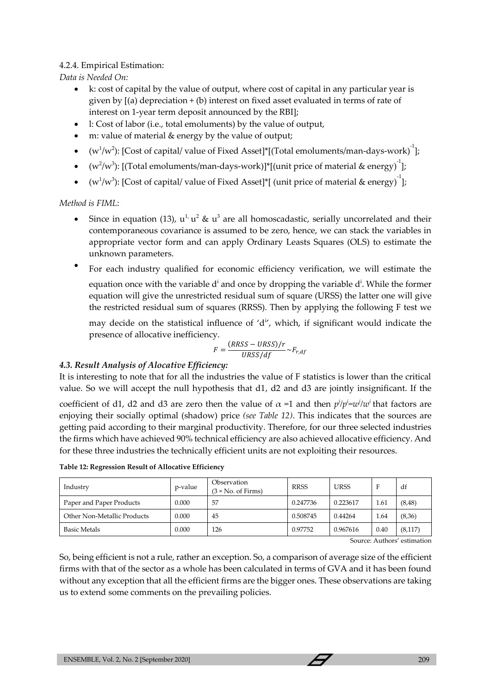## 4.2.4. Empirical Estimation:

*Data is Needed On:*

- k: cost of capital by the value of output, where cost of capital in any particular year is given by  $[(a)$  depreciation  $+(b)$  interest on fixed asset evaluated in terms of rate of interest on 1-year term deposit announced by the RBI];
- l: Cost of labor (i.e., total emoluments) by the value of output,
- m: value of material & energy by the value of output;
- $(w^1/w^2)$ : [Cost of capital/ value of Fixed Asset]\*[(Total emoluments/man-days-work) $^{-1}$ ];
- $(w^2/w^3)$ : [(Total emoluments/man-days-work)]\*[(unit price of material & energy)<sup>-1</sup>];
- $(w^1/w^3)$ : [Cost of capital/ value of Fixed Asset]\*[ (unit price of material & energy)<sup>-1</sup>];

*Method is FIML*:

- Since in equation (13),  $u^1$ ,  $u^2 \& u^3$  are all homoscadastic, serially uncorrelated and their contemporaneous covariance is assumed to be zero, hence, we can stack the variables in appropriate vector form and can apply Ordinary Leasts Squares (OLS) to estimate the unknown parameters.
- For each industry qualified for economic efficiency verification, we will estimate the equation once with the variable  $d^i$  and once by dropping the variable  $d^i$ . While the former equation will give the unrestricted residual sum of square (URSS) the latter one will give the restricted residual sum of squares (RRSS). Then by applying the following F test we

may decide on the statistical influence of ' $d<sup>i</sup>$ , which, if significant would indicate the presence of allocative inefficiency.

$$
F = \frac{(RRSS - URSS)/r}{URSS/df} \sim F_{r,df}
$$

## *4.3. Result Analysis of Alocative Efficiency:*

It is interesting to note that for all the industries the value of F statistics is lower than the critical value. So we will accept the null hypothesis that d1, d2 and d3 are jointly insignificant. If the

coefficient of d1, d2 and d3 are zero then the value of  $\alpha$  =1 and then  $p^j/p^i=w^j/w^i$  that factors are enjoying their socially optimal (shadow) price *(see Table 12)*. This indicates that the sources are getting paid according to their marginal productivity. Therefore, for our three selected industries the firms which have achieved 90% technical efficiency are also achieved allocative efficiency. And for these three industries the technically efficient units are not exploiting their resources.

| Industry                    | p-value | Observation<br>$(3 \times$ No. of Firms) | <b>RRSS</b> | <b>URSS</b> |      | df       |
|-----------------------------|---------|------------------------------------------|-------------|-------------|------|----------|
| Paper and Paper Products    | 0.000   | 57                                       | 0.247736    | 0.223617    | 1.61 | (8, 48)  |
| Other Non-Metallic Products | 0.000   | 45                                       | 0.508745    | 0.44264     | 1.64 | (8,36)   |
| <b>Basic Metals</b>         | 0.000   | 126                                      | 0.97752     | 0.967616    | 0.40 | (8, 117) |

**Table 12: Regression Result of Allocative Efficiency**

Source: Authors' estimation

So, being efficient is not a rule, rather an exception. So, a comparison of average size of the efficient firms with that of the sector as a whole has been calculated in terms of GVA and it has been found without any exception that all the efficient firms are the bigger ones. These observations are taking us to extend some comments on the prevailing policies.